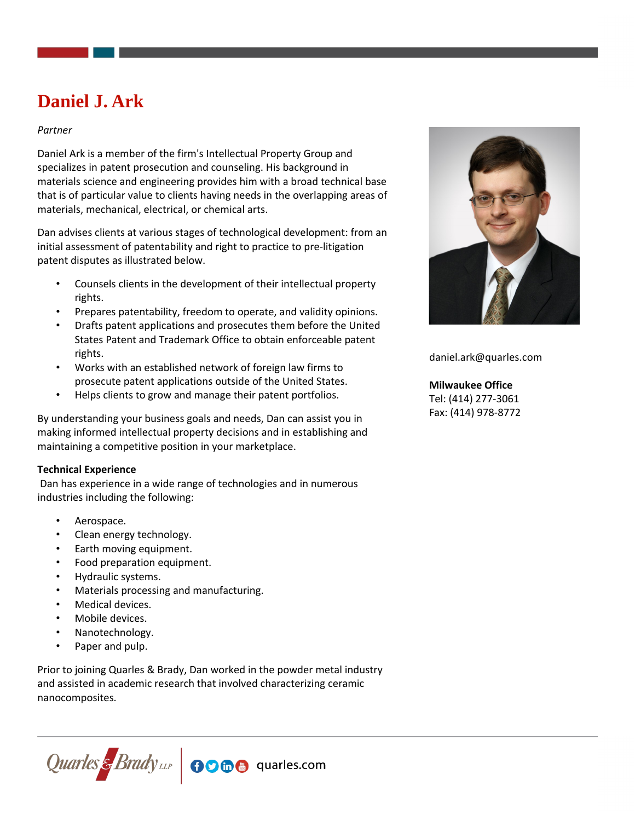# **Daniel J. Ark**

## *Partner*

Daniel Ark is a member of the firm's Intellectual Property Group and specializes in patent prosecution and counseling. His background in materials science and engineering provides him with a broad technical base that is of particular value to clients having needs in the overlapping areas of materials, mechanical, electrical, or chemical arts.

Dan advises clients at various stages of technological development: from an initial assessment of patentability and right to practice to pre-litigation patent disputes as illustrated below.

- Counsels clients in the development of their intellectual property rights.
- Prepares patentability, freedom to operate, and validity opinions.
- Drafts patent applications and prosecutes them before the United States Patent and Trademark Office to obtain enforceable patent rights.
- Works with an established network of foreign law firms to prosecute patent applications outside of the United States.
- Helps clients to grow and manage their patent portfolios.

By understanding your business goals and needs, Dan can assist you in making informed intellectual property decisions and in establishing and maintaining a competitive position in your marketplace.

## **Technical Experience**

 Dan has experience in a wide range of technologies and in numerous industries including the following:

- Aerospace.
- Clean energy technology.
- Earth moving equipment.
- Food preparation equipment.
- Hydraulic systems.
- Materials processing and manufacturing.
- Medical devices.
- Mobile devices.
- Nanotechnology.
- Paper and pulp.

Prior to joining Quarles & Brady, Dan worked in the powder metal industry and assisted in academic research that involved characterizing ceramic nanocomposites.





daniel.ark@quarles.com

**Milwaukee Office** Tel: (414) 277-3061 Fax: (414) 978-8772